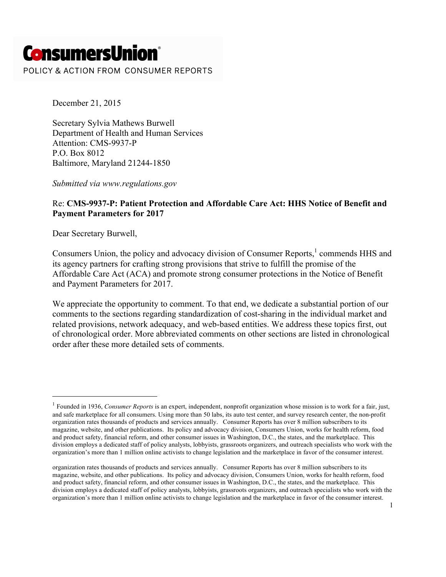# **ConsumersUnion®**

POLICY & ACTION FROM CONSUMER REPORTS

December 21, 2015

Secretary Sylvia Mathews Burwell Department of Health and Human Services Attention: CMS-9937-P P.O. Box 8012 Baltimore, Maryland 21244-1850

*Submitted via www.regulations.gov*

#### Re: **CMS-9937-P: Patient Protection and Affordable Care Act: HHS Notice of Benefit and Payment Parameters for 2017**

Dear Secretary Burwell,

 $\overline{a}$ 

Consumers Union, the policy and advocacy division of Consumer Reports,<sup>1</sup> commends HHS and its agency partners for crafting strong provisions that strive to fulfill the promise of the Affordable Care Act (ACA) and promote strong consumer protections in the Notice of Benefit and Payment Parameters for 2017.

We appreciate the opportunity to comment. To that end, we dedicate a substantial portion of our comments to the sections regarding standardization of cost-sharing in the individual market and related provisions, network adequacy, and web-based entities. We address these topics first, out of chronological order. More abbreviated comments on other sections are listed in chronological order after these more detailed sets of comments.

<sup>1</sup> Founded in 1936, *Consumer Reports* is an expert, independent, nonprofit organization whose mission is to work for a fair, just, and safe marketplace for all consumers. Using more than 50 labs, its auto test center, and survey research center, the non-profit organization rates thousands of products and services annually. Consumer Reports has over 8 million subscribers to its magazine, website, and other publications. Its policy and advocacy division, Consumers Union, works for health reform, food and product safety, financial reform, and other consumer issues in Washington, D.C., the states, and the marketplace. This division employs a dedicated staff of policy analysts, lobbyists, grassroots organizers, and outreach specialists who work with the organization's more than 1 million online activists to change legislation and the marketplace in favor of the consumer interest.

organization rates thousands of products and services annually. Consumer Reports has over 8 million subscribers to its magazine, website, and other publications. Its policy and advocacy division, Consumers Union, works for health reform, food and product safety, financial reform, and other consumer issues in Washington, D.C., the states, and the marketplace. This division employs a dedicated staff of policy analysts, lobbyists, grassroots organizers, and outreach specialists who work with the organization's more than 1 million online activists to change legislation and the marketplace in favor of the consumer interest.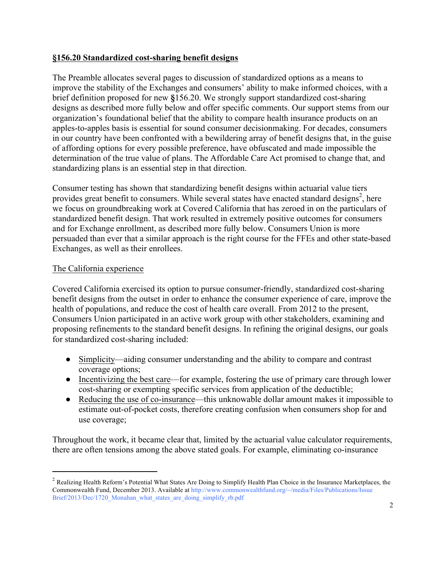## **§156.20 Standardized cost-sharing benefit designs**

The Preamble allocates several pages to discussion of standardized options as a means to improve the stability of the Exchanges and consumers' ability to make informed choices, with a brief definition proposed for new **§**156.20. We strongly support standardized cost-sharing designs as described more fully below and offer specific comments. Our support stems from our organization's foundational belief that the ability to compare health insurance products on an apples-to-apples basis is essential for sound consumer decisionmaking. For decades, consumers in our country have been confronted with a bewildering array of benefit designs that, in the guise of affording options for every possible preference, have obfuscated and made impossible the determination of the true value of plans. The Affordable Care Act promised to change that, and standardizing plans is an essential step in that direction.

Consumer testing has shown that standardizing benefit designs within actuarial value tiers provides great benefit to consumers. While several states have enacted standard designs<sup>2</sup>, here we focus on groundbreaking work at Covered California that has zeroed in on the particulars of standardized benefit design. That work resulted in extremely positive outcomes for consumers and for Exchange enrollment, as described more fully below. Consumers Union is more persuaded than ever that a similar approach is the right course for the FFEs and other state-based Exchanges, as well as their enrollees.

## The California experience

Covered California exercised its option to pursue consumer-friendly, standardized cost-sharing benefit designs from the outset in order to enhance the consumer experience of care, improve the health of populations, and reduce the cost of health care overall. From 2012 to the present, Consumers Union participated in an active work group with other stakeholders, examining and proposing refinements to the standard benefit designs. In refining the original designs, our goals for standardized cost-sharing included:

- Simplicity—aiding consumer understanding and the ability to compare and contrast coverage options;
- Incentivizing the best care—for example, fostering the use of primary care through lower cost-sharing or exempting specific services from application of the deductible;
- Reducing the use of co-insurance—this unknowable dollar amount makes it impossible to estimate out-of-pocket costs, therefore creating confusion when consumers shop for and use coverage;

Throughout the work, it became clear that, limited by the actuarial value calculator requirements, there are often tensions among the above stated goals. For example, eliminating co-insurance

 $\ddot{\phantom{a}}$ <sup>2</sup> Realizing Health Reform's Potential What States Are Doing to Simplify Health Plan Choice in the Insurance Marketplaces, the Commonwealth Fund, December 2013. Available at http://www.commonwealthfund.org/~/media/Files/Publications/Issue Brief/2013/Dec/1720\_Monahan\_what\_states\_are\_doing\_simplify\_rb.pdf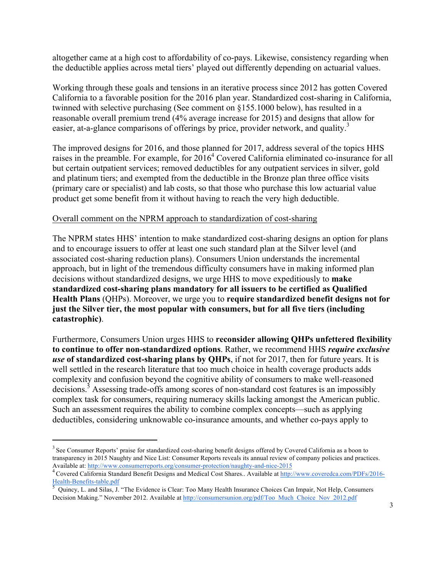altogether came at a high cost to affordability of co-pays. Likewise, consistency regarding when the deductible applies across metal tiers' played out differently depending on actuarial values.

Working through these goals and tensions in an iterative process since 2012 has gotten Covered California to a favorable position for the 2016 plan year. Standardized cost-sharing in California, twinned with selective purchasing (See comment on §155.1000 below), has resulted in a reasonable overall premium trend (4% average increase for 2015) and designs that allow for easier, at-a-glance comparisons of offerings by price, provider network, and quality.<sup>3</sup>

The improved designs for 2016, and those planned for 2017, address several of the topics HHS raises in the preamble. For example, for  $2016^4$  Covered California eliminated co-insurance for all but certain outpatient services; removed deductibles for any outpatient services in silver, gold and platinum tiers; and exempted from the deductible in the Bronze plan three office visits (primary care or specialist) and lab costs, so that those who purchase this low actuarial value product get some benefit from it without having to reach the very high deductible.

#### Overall comment on the NPRM approach to standardization of cost-sharing

The NPRM states HHS' intention to make standardized cost-sharing designs an option for plans and to encourage issuers to offer at least one such standard plan at the Silver level (and associated cost-sharing reduction plans). Consumers Union understands the incremental approach, but in light of the tremendous difficulty consumers have in making informed plan decisions without standardized designs, we urge HHS to move expeditiously to **make standardized cost-sharing plans mandatory for all issuers to be certified as Qualified Health Plans** (QHPs). Moreover, we urge you to **require standardized benefit designs not for just the Silver tier, the most popular with consumers, but for all five tiers (including catastrophic)**.

Furthermore, Consumers Union urges HHS to **reconsider allowing QHPs unfettered flexibility to continue to offer non-standardized options**. Rather, we recommend HHS *require exclusive use* **of standardized cost-sharing plans by QHPs**, if not for 2017, then for future years. It is well settled in the research literature that too much choice in health coverage products adds complexity and confusion beyond the cognitive ability of consumers to make well-reasoned decisions.<sup>5</sup> Assessing trade-offs among scores of non-standard cost features is an impossibly complex task for consumers, requiring numeracy skills lacking amongst the American public. Such an assessment requires the ability to combine complex concepts—such as applying deductibles, considering unknowable co-insurance amounts, and whether co-pays apply to

 $\ddot{\phantom{a}}$ 

<sup>&</sup>lt;sup>3</sup> See Consumer Reports' praise for standardized cost-sharing benefit designs offered by Covered California as a boon to transparency in 2015 Naughty and Nice List: Consumer Reports reveals its annual review of company policies and practices.

Available at: http://www.consumerreports.org/consumer-protection/naughty-and-nice-2015<br>
<sup>4</sup> Covered California Standard Benefit Designs and Medical Cost Shares.. Available at http://www.coveredca.com/PDFs/2016-<br>
<sup>5</sup> Quincy

Quincy, L. and Silas, J. "The Evidence is Clear: Too Many Health Insurance Choices Can Impair, Not Help, Consumers Decision Making." November 2012. Available at http://consumersunion.org/pdf/Too\_Much\_Choice\_Nov\_2012.pdf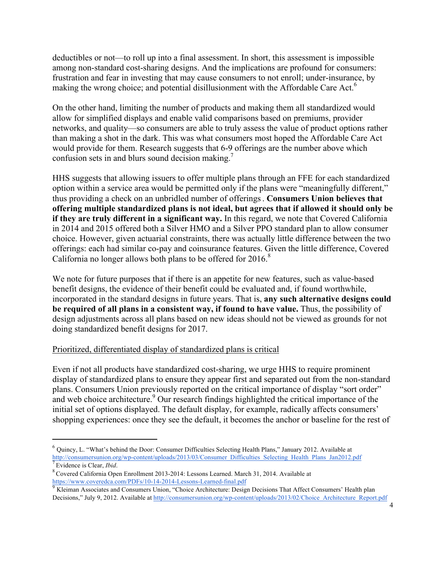deductibles or not—to roll up into a final assessment. In short, this assessment is impossible among non-standard cost-sharing designs. And the implications are profound for consumers: frustration and fear in investing that may cause consumers to not enroll; under-insurance, by making the wrong choice; and potential disillusionment with the Affordable Care Act.<sup>6</sup>

On the other hand, limiting the number of products and making them all standardized would allow for simplified displays and enable valid comparisons based on premiums, provider networks, and quality—so consumers are able to truly assess the value of product options rather than making a shot in the dark. This was what consumers most hoped the Affordable Care Act would provide for them. Research suggests that 6-9 offerings are the number above which confusion sets in and blurs sound decision making.7

HHS suggests that allowing issuers to offer multiple plans through an FFE for each standardized option within a service area would be permitted only if the plans were "meaningfully different," thus providing a check on an unbridled number of offerings. **Consumers Union believes that offering multiple standardized plans is not ideal, but agrees that if allowed it should only be if they are truly different in a significant way.** In this regard, we note that Covered California in 2014 and 2015 offered both a Silver HMO and a Silver PPO standard plan to allow consumer choice. However, given actuarial constraints, there was actually little difference between the two offerings: each had similar co-pay and coinsurance features. Given the little difference, Covered California no longer allows both plans to be offered for  $2016$ .<sup>8</sup>

We note for future purposes that if there is an appetite for new features, such as value-based benefit designs, the evidence of their benefit could be evaluated and, if found worthwhile, incorporated in the standard designs in future years. That is, **any such alternative designs could be required of all plans in a consistent way, if found to have value.** Thus, the possibility of design adjustments across all plans based on new ideas should not be viewed as grounds for not doing standardized benefit designs for 2017.

## Prioritized, differentiated display of standardized plans is critical

 $\ddot{\phantom{a}}$ 

Even if not all products have standardized cost-sharing, we urge HHS to require prominent display of standardized plans to ensure they appear first and separated out from the non-standard plans. Consumers Union previously reported on the critical importance of display "sort order" and web choice architecture.<sup>9</sup> Our research findings highlighted the critical importance of the initial set of options displayed. The default display, for example, radically affects consumers' shopping experiences: once they see the default, it becomes the anchor or baseline for the rest of

 $6$  Quincy, L. "What's behind the Door: Consumer Difficulties Selecting Health Plans," January 2012. Available at http://consumersunion.org/wp-content/uploads/2013/03/Consumer\_Difficulties\_Selecting\_Health\_Plans\_Jan2012.pdf <sup>7</sup> Evidence is Clear, *Ibid*.

<sup>8</sup> Covered California Open Enrollment 2013-2014: Lessons Learned. March 31, 2014. Available at

https://www.coveredca.com/PDFs/10-14-2014-Lessons-Learned-final.pdf<br><sup>9</sup> Kleiman Associates and Consumers Union, "Choice Architecture: Design Decisions That Affect Consumers' Health plan Decisions," July 9, 2012. Available at http://consumersunion.org/wp-content/uploads/2013/02/Choice\_Architecture\_Report.pdf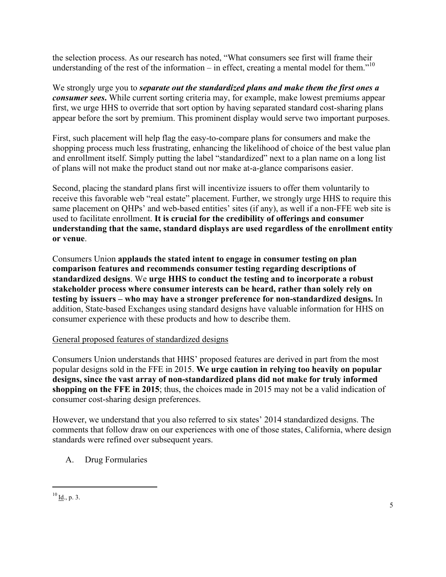the selection process. As our research has noted, "What consumers see first will frame their understanding of the rest of the information – in effect, creating a mental model for them."<sup>10</sup>

We strongly urge you to *separate out the standardized plans and make them the first ones a consumer sees***.** While current sorting criteria may, for example, make lowest premiums appear first, we urge HHS to override that sort option by having separated standard cost-sharing plans appear before the sort by premium. This prominent display would serve two important purposes.

First, such placement will help flag the easy-to-compare plans for consumers and make the shopping process much less frustrating, enhancing the likelihood of choice of the best value plan and enrollment itself. Simply putting the label "standardized" next to a plan name on a long list of plans will not make the product stand out nor make at-a-glance comparisons easier.

Second, placing the standard plans first will incentivize issuers to offer them voluntarily to receive this favorable web "real estate" placement. Further, we strongly urge HHS to require this same placement on QHPs' and web-based entities' sites (if any), as well if a non-FFE web site is used to facilitate enrollment. **It is crucial for the credibility of offerings and consumer understanding that the same, standard displays are used regardless of the enrollment entity or venue**.

Consumers Union **applauds the stated intent to engage in consumer testing on plan comparison features and recommends consumer testing regarding descriptions of standardized designs**. We **urge HHS to conduct the testing and to incorporate a robust stakeholder process where consumer interests can be heard, rather than solely rely on testing by issuers – who may have a stronger preference for non-standardized designs.** In addition, State-based Exchanges using standard designs have valuable information for HHS on consumer experience with these products and how to describe them.

## General proposed features of standardized designs

Consumers Union understands that HHS' proposed features are derived in part from the most popular designs sold in the FFE in 2015. **We urge caution in relying too heavily on popular designs, since the vast array of non-standardized plans did not make for truly informed shopping on the FFE in 2015**; thus, the choices made in 2015 may not be a valid indication of consumer cost-sharing design preferences.

However, we understand that you also referred to six states' 2014 standardized designs. The comments that follow draw on our experiences with one of those states, California, where design standards were refined over subsequent years.

A. Drug Formularies

 $\ddot{\phantom{a}}$  $10$  Id., p. 3.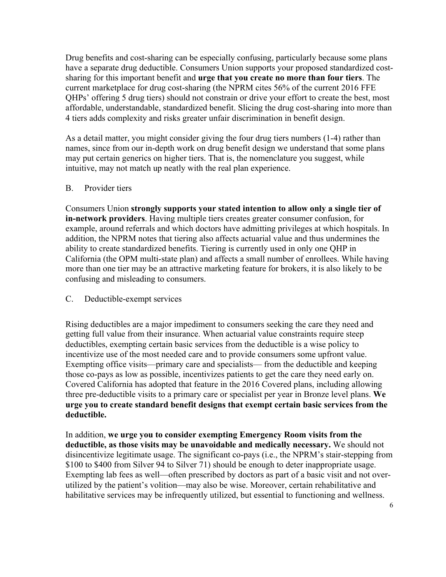Drug benefits and cost-sharing can be especially confusing, particularly because some plans have a separate drug deductible. Consumers Union supports your proposed standardized costsharing for this important benefit and **urge that you create no more than four tiers**. The current marketplace for drug cost-sharing (the NPRM cites 56% of the current 2016 FFE QHPs' offering 5 drug tiers) should not constrain or drive your effort to create the best, most affordable, understandable, standardized benefit. Slicing the drug cost-sharing into more than 4 tiers adds complexity and risks greater unfair discrimination in benefit design.

As a detail matter, you might consider giving the four drug tiers numbers (1-4) rather than names, since from our in-depth work on drug benefit design we understand that some plans may put certain generics on higher tiers. That is, the nomenclature you suggest, while intuitive, may not match up neatly with the real plan experience.

#### B. Provider tiers

Consumers Union **strongly supports your stated intention to allow only a single tier of in-network providers**. Having multiple tiers creates greater consumer confusion, for example, around referrals and which doctors have admitting privileges at which hospitals. In addition, the NPRM notes that tiering also affects actuarial value and thus undermines the ability to create standardized benefits. Tiering is currently used in only one QHP in California (the OPM multi-state plan) and affects a small number of enrollees. While having more than one tier may be an attractive marketing feature for brokers, it is also likely to be confusing and misleading to consumers.

#### C. Deductible-exempt services

Rising deductibles are a major impediment to consumers seeking the care they need and getting full value from their insurance. When actuarial value constraints require steep deductibles, exempting certain basic services from the deductible is a wise policy to incentivize use of the most needed care and to provide consumers some upfront value. Exempting office visits—primary care and specialists— from the deductible and keeping those co-pays as low as possible, incentivizes patients to get the care they need early on. Covered California has adopted that feature in the 2016 Covered plans, including allowing three pre-deductible visits to a primary care or specialist per year in Bronze level plans. **We urge you to create standard benefit designs that exempt certain basic services from the deductible.**

In addition, **we urge you to consider exempting Emergency Room visits from the deductible, as those visits may be unavoidable and medically necessary.** We should not disincentivize legitimate usage. The significant co-pays (i.e., the NPRM's stair-stepping from \$100 to \$400 from Silver 94 to Silver 71) should be enough to deter inappropriate usage. Exempting lab fees as well—often prescribed by doctors as part of a basic visit and not overutilized by the patient's volition—may also be wise. Moreover, certain rehabilitative and habilitative services may be infrequently utilized, but essential to functioning and wellness.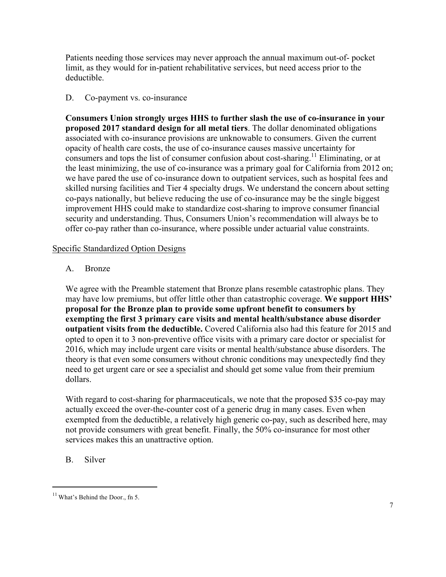Patients needing those services may never approach the annual maximum out-of- pocket limit, as they would for in-patient rehabilitative services, but need access prior to the deductible.

## D. Co-payment vs. co-insurance

**Consumers Union strongly urges HHS to further slash the use of co-insurance in your proposed 2017 standard design for all metal tiers**. The dollar denominated obligations associated with co-insurance provisions are unknowable to consumers. Given the current opacity of health care costs, the use of co-insurance causes massive uncertainty for consumers and tops the list of consumer confusion about cost-sharing.<sup>11</sup> Eliminating, or at the least minimizing, the use of co-insurance was a primary goal for California from 2012 on; we have pared the use of co-insurance down to outpatient services, such as hospital fees and skilled nursing facilities and Tier 4 specialty drugs. We understand the concern about setting co-pays nationally, but believe reducing the use of co-insurance may be the single biggest improvement HHS could make to standardize cost-sharing to improve consumer financial security and understanding. Thus, Consumers Union's recommendation will always be to offer co-pay rather than co-insurance, where possible under actuarial value constraints.

## Specific Standardized Option Designs

## A. Bronze

We agree with the Preamble statement that Bronze plans resemble catastrophic plans. They may have low premiums, but offer little other than catastrophic coverage. **We support HHS' proposal for the Bronze plan to provide some upfront benefit to consumers by exempting the first 3 primary care visits and mental health/substance abuse disorder outpatient visits from the deductible.** Covered California also had this feature for 2015 and opted to open it to 3 non-preventive office visits with a primary care doctor or specialist for 2016, which may include urgent care visits or mental health/substance abuse disorders. The theory is that even some consumers without chronic conditions may unexpectedly find they need to get urgent care or see a specialist and should get some value from their premium dollars.

With regard to cost-sharing for pharmaceuticals, we note that the proposed \$35 co-pay may actually exceed the over-the-counter cost of a generic drug in many cases. Even when exempted from the deductible, a relatively high generic co-pay, such as described here, may not provide consumers with great benefit. Finally, the 50% co-insurance for most other services makes this an unattractive option.

## B. Silver

 $\ddot{\phantom{a}}$  $11$  What's Behind the Door., fn 5.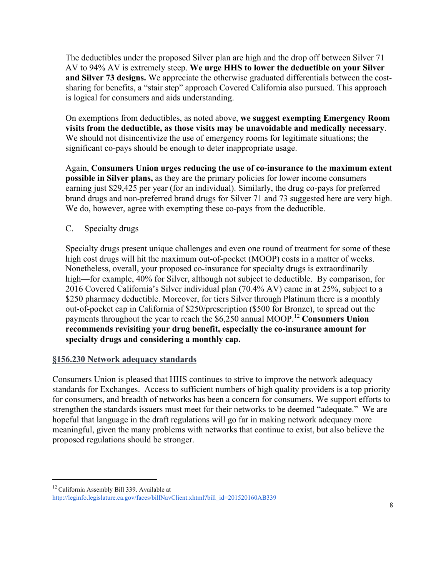The deductibles under the proposed Silver plan are high and the drop off between Silver 71 AV to 94% AV is extremely steep. **We urge HHS to lower the deductible on your Silver and Silver 73 designs.** We appreciate the otherwise graduated differentials between the costsharing for benefits, a "stair step" approach Covered California also pursued. This approach is logical for consumers and aids understanding.

On exemptions from deductibles, as noted above, **we suggest exempting Emergency Room visits from the deductible, as those visits may be unavoidable and medically necessary**. We should not disincentivize the use of emergency rooms for legitimate situations; the significant co-pays should be enough to deter inappropriate usage.

Again, **Consumers Union urges reducing the use of co-insurance to the maximum extent possible in Silver plans,** as they are the primary policies for lower income consumers earning just \$29,425 per year (for an individual). Similarly, the drug co-pays for preferred brand drugs and non-preferred brand drugs for Silver 71 and 73 suggested here are very high. We do, however, agree with exempting these co-pays from the deductible.

## C. Specialty drugs

Specialty drugs present unique challenges and even one round of treatment for some of these high cost drugs will hit the maximum out-of-pocket (MOOP) costs in a matter of weeks. Nonetheless, overall, your proposed co-insurance for specialty drugs is extraordinarily high—for example, 40% for Silver, although not subject to deductible. By comparison, for 2016 Covered California's Silver individual plan (70.4% AV) came in at 25%, subject to a \$250 pharmacy deductible. Moreover, for tiers Silver through Platinum there is a monthly out-of-pocket cap in California of \$250/prescription (\$500 for Bronze), to spread out the payments throughout the year to reach the \$6,250 annual MOOP.<sup>12</sup> Consumers Union **recommends revisiting your drug benefit, especially the co-insurance amount for specialty drugs and considering a monthly cap.**

## **§156.230 Network adequacy standards**

 $\overline{a}$ 

Consumers Union is pleased that HHS continues to strive to improve the network adequacy standards for Exchanges. Access to sufficient numbers of high quality providers is a top priority for consumers, and breadth of networks has been a concern for consumers. We support efforts to strengthen the standards issuers must meet for their networks to be deemed "adequate." We are hopeful that language in the draft regulations will go far in making network adequacy more meaningful, given the many problems with networks that continue to exist, but also believe the proposed regulations should be stronger.

<sup>&</sup>lt;sup>12</sup> California Assembly Bill 339. Available at http://leginfo.legislature.ca.gov/faces/billNavClient.xhtml?bill\_id=201520160AB339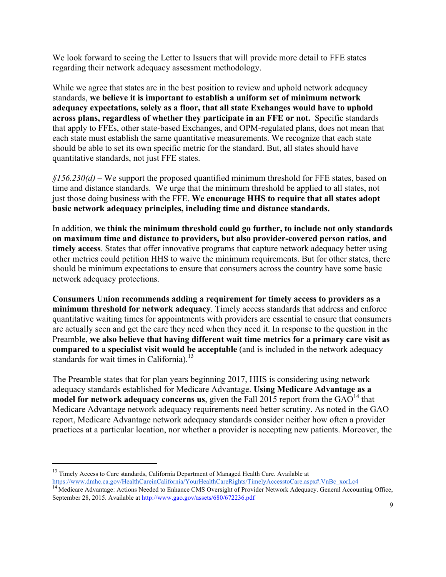We look forward to seeing the Letter to Issuers that will provide more detail to FFE states regarding their network adequacy assessment methodology.

While we agree that states are in the best position to review and uphold network adequacy standards, **we believe it is important to establish a uniform set of minimum network adequacy expectations, solely as a floor, that all state Exchanges would have to uphold across plans, regardless of whether they participate in an FFE or not.** Specific standards that apply to FFEs, other state-based Exchanges, and OPM-regulated plans, does not mean that each state must establish the same quantitative measurements. We recognize that each state should be able to set its own specific metric for the standard. But, all states should have quantitative standards, not just FFE states.

*§156.230(d)* – We support the proposed quantified minimum threshold for FFE states, based on time and distance standards. We urge that the minimum threshold be applied to all states, not just those doing business with the FFE. **We encourage HHS to require that all states adopt basic network adequacy principles, including time and distance standards.**

In addition, **we think the minimum threshold could go further, to include not only standards on maximum time and distance to providers, but also provider-covered person ratios, and timely access**. States that offer innovative programs that capture network adequacy better using other metrics could petition HHS to waive the minimum requirements. But for other states, there should be minimum expectations to ensure that consumers across the country have some basic network adequacy protections.

**Consumers Union recommends adding a requirement for timely access to providers as a minimum threshold for network adequacy**. Timely access standards that address and enforce quantitative waiting times for appointments with providers are essential to ensure that consumers are actually seen and get the care they need when they need it. In response to the question in the Preamble, **we also believe that having different wait time metrics for a primary care visit as compared to a specialist visit would be acceptable** (and is included in the network adequacy standards for wait times in California).<sup>13</sup>

The Preamble states that for plan years beginning 2017, HHS is considering using network adequacy standards established for Medicare Advantage. **Using Medicare Advantage as a model for network adequacy concerns us**, given the Fall 2015 report from the GAO<sup>14</sup> that Medicare Advantage network adequacy requirements need better scrutiny. As noted in the GAO report, Medicare Advantage network adequacy standards consider neither how often a provider practices at a particular location, nor whether a provider is accepting new patients. Moreover, the

 $\ddot{\phantom{a}}$ 

<sup>&</sup>lt;sup>13</sup> Timely Access to Care standards, California Department of Managed Health Care. Available at https://www.dmhc.ca.gov/HealthCareinCalifornia/YourHealthCareRights/TimelyAccesstoCare.aspx#.VnBc\_xorLc4

<sup>&</sup>lt;sup>14</sup> Medicare Advantage: Actions Needed to Enhance CMS Oversight of Provider Network Adequacy. General Accounting Office, September 28, 2015. Available at http://www.gao.gov/assets/680/672236.pdf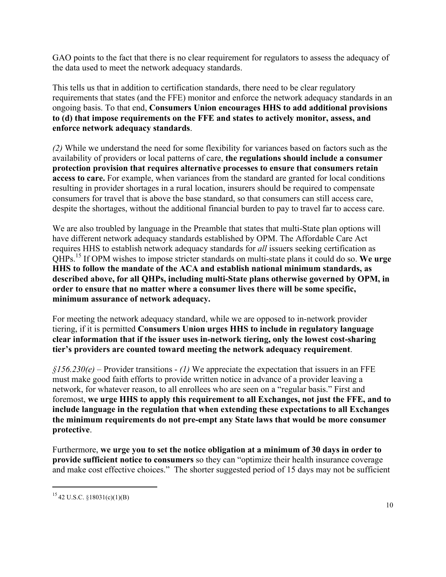GAO points to the fact that there is no clear requirement for regulators to assess the adequacy of the data used to meet the network adequacy standards.

This tells us that in addition to certification standards, there need to be clear regulatory requirements that states (and the FFE) monitor and enforce the network adequacy standards in an ongoing basis. To that end, **Consumers Union encourages HHS to add additional provisions to (d) that impose requirements on the FFE and states to actively monitor, assess, and enforce network adequacy standards**.

*(2)* While we understand the need for some flexibility for variances based on factors such as the availability of providers or local patterns of care, **the regulations should include a consumer protection provision that requires alternative processes to ensure that consumers retain access to care.** For example, when variances from the standard are granted for local conditions resulting in provider shortages in a rural location, insurers should be required to compensate consumers for travel that is above the base standard, so that consumers can still access care, despite the shortages, without the additional financial burden to pay to travel far to access care.

We are also troubled by language in the Preamble that states that multi-State plan options will have different network adequacy standards established by OPM. The Affordable Care Act requires HHS to establish network adequacy standards for *all* issuers seeking certification as QHPs.<sup>15</sup> If OPM wishes to impose stricter standards on multi-state plans it could do so. **We urge HHS to follow the mandate of the ACA and establish national minimum standards, as described above, for all QHPs, including multi-State plans otherwise governed by OPM, in order to ensure that no matter where a consumer lives there will be some specific, minimum assurance of network adequacy.** 

For meeting the network adequacy standard, while we are opposed to in-network provider tiering, if it is permitted **Consumers Union urges HHS to include in regulatory language clear information that if the issuer uses in-network tiering, only the lowest cost-sharing tier's providers are counted toward meeting the network adequacy requirement**.

*§156.230(e)* – Provider transitions - *(1)* We appreciate the expectation that issuers in an FFE must make good faith efforts to provide written notice in advance of a provider leaving a network, for whatever reason, to all enrollees who are seen on a "regular basis." First and foremost, **we urge HHS to apply this requirement to all Exchanges, not just the FFE, and to include language in the regulation that when extending these expectations to all Exchanges the minimum requirements do not pre-empt any State laws that would be more consumer protective**.

Furthermore, **we urge you to set the notice obligation at a minimum of 30 days in order to provide sufficient notice to consumers** so they can "optimize their health insurance coverage and make cost effective choices." The shorter suggested period of 15 days may not be sufficient

 $\ddot{\phantom{a}}$  $15$  42 U.S.C. §18031(c)(1)(B)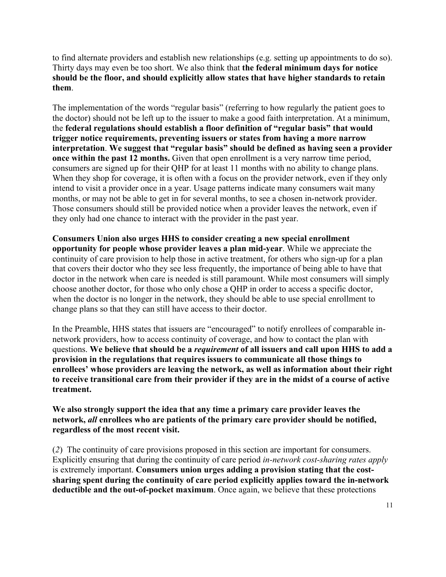to find alternate providers and establish new relationships (e.g. setting up appointments to do so). Thirty days may even be too short. We also think that **the federal minimum days for notice should be the floor, and should explicitly allow states that have higher standards to retain them**.

The implementation of the words "regular basis" (referring to how regularly the patient goes to the doctor) should not be left up to the issuer to make a good faith interpretation. At a minimum, the **federal regulations should establish a floor definition of "regular basis" that would trigger notice requirements, preventing issuers or states from having a more narrow interpretation**. **We suggest that "regular basis" should be defined as having seen a provider once within the past 12 months.** Given that open enrollment is a very narrow time period, consumers are signed up for their QHP for at least 11 months with no ability to change plans. When they shop for coverage, it is often with a focus on the provider network, even if they only intend to visit a provider once in a year. Usage patterns indicate many consumers wait many months, or may not be able to get in for several months, to see a chosen in-network provider. Those consumers should still be provided notice when a provider leaves the network, even if they only had one chance to interact with the provider in the past year.

**Consumers Union also urges HHS to consider creating a new special enrollment opportunity for people whose provider leaves a plan mid-year**. While we appreciate the continuity of care provision to help those in active treatment, for others who sign-up for a plan that covers their doctor who they see less frequently, the importance of being able to have that doctor in the network when care is needed is still paramount. While most consumers will simply choose another doctor, for those who only chose a QHP in order to access a specific doctor, when the doctor is no longer in the network, they should be able to use special enrollment to change plans so that they can still have access to their doctor.

In the Preamble, HHS states that issuers are "encouraged" to notify enrollees of comparable innetwork providers, how to access continuity of coverage, and how to contact the plan with questions. **We believe that should be a** *requirement* **of all issuers and call upon HHS to add a provision in the regulations that requires issuers to communicate all those things to enrollees' whose providers are leaving the network, as well as information about their right to receive transitional care from their provider if they are in the midst of a course of active treatment.**

**We also strongly support the idea that any time a primary care provider leaves the network,** *all* **enrollees who are patients of the primary care provider should be notified, regardless of the most recent visit.**

(*2*) The continuity of care provisions proposed in this section are important for consumers. Explicitly ensuring that during the continuity of care period *in-network cost-sharing rates apply* is extremely important. **Consumers union urges adding a provision stating that the costsharing spent during the continuity of care period explicitly applies toward the in-network deductible and the out-of-pocket maximum**. Once again, we believe that these protections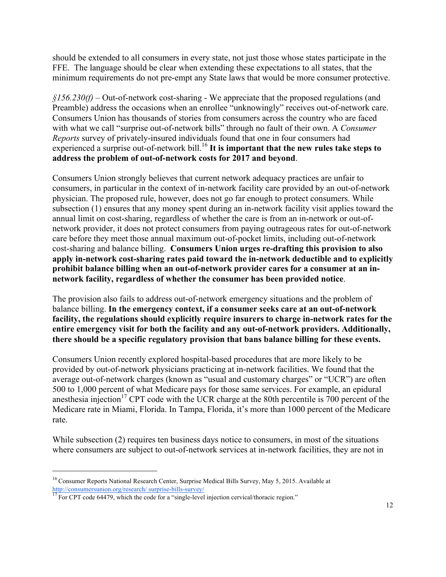should be extended to all consumers in every state, not just those whose states participate in the FFE. The language should be clear when extending these expectations to all states, that the minimum requirements do not pre-empt any State laws that would be more consumer protective.

*§156.230(f)* – Out-of-network cost-sharing - We appreciate that the proposed regulations (and Preamble) address the occasions when an enrollee "unknowingly" receives out-of-network care. Consumers Union has thousands of stories from consumers across the country who are faced with what we call "surprise out-of-network bills" through no fault of their own. A *Consumer Reports* survey of privately-insured individuals found that one in four consumers had experienced a surprise out-of-network bill.<sup>16</sup> It is important that the new rules take steps to **address the problem of out-of-network costs for 2017 and beyond**.

Consumers Union strongly believes that current network adequacy practices are unfair to consumers, in particular in the context of in-network facility care provided by an out-of-network physician. The proposed rule, however, does not go far enough to protect consumers. While subsection (1) ensures that any money spent during an in-network facility visit applies toward the annual limit on cost-sharing, regardless of whether the care is from an in-network or out-ofnetwork provider, it does not protect consumers from paying outrageous rates for out-of-network care before they meet those annual maximum out-of-pocket limits, including out-of-network cost-sharing and balance billing. **Consumers Union urges re-drafting this provision to also apply in-network cost-sharing rates paid toward the in-network deductible and to explicitly prohibit balance billing when an out-of-network provider cares for a consumer at an innetwork facility, regardless of whether the consumer has been provided notice**.

The provision also fails to address out-of-network emergency situations and the problem of balance billing. **In the emergency context, if a consumer seeks care at an out-of-network facility, the regulations should explicitly require insurers to charge in-network rates for the entire emergency visit for both the facility and any out-of-network providers. Additionally, there should be a specific regulatory provision that bans balance billing for these events.** 

Consumers Union recently explored hospital-based procedures that are more likely to be provided by out-of-network physicians practicing at in-network facilities. We found that the average out-of-network charges (known as "usual and customary charges" or "UCR") are often 500 to 1,000 percent of what Medicare pays for those same services. For example, an epidural anesthesia injection<sup>17</sup> CPT code with the UCR charge at the 80th percentile is 700 percent of the Medicare rate in Miami, Florida. In Tampa, Florida, it's more than 1000 percent of the Medicare rate.

While subsection (2) requires ten business days notice to consumers, in most of the situations where consumers are subject to out-of-network services at in-network facilities, they are not in

 $\ddot{\phantom{a}}$ 

<sup>&</sup>lt;sup>16</sup> Consumer Reports National Research Center, Surprise Medical Bills Survey, May 5, 2015. Available at http://consumersunion.org/research/ surprise-bills-survey/<br><sup>17</sup> For CPT code 64479, which the code for a "single-level injection cervical/thoracic region."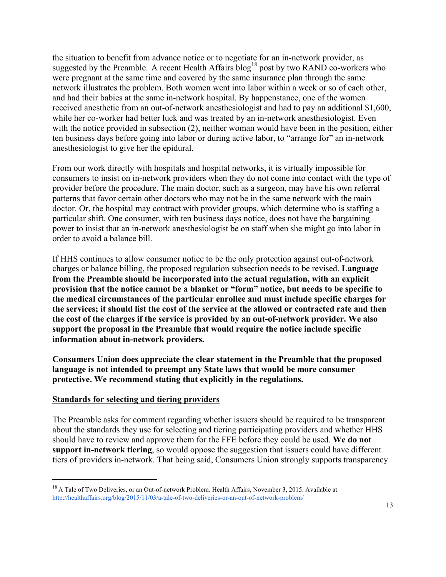the situation to benefit from advance notice or to negotiate for an in-network provider, as suggested by the Preamble. A recent Health Affairs blog<sup>18</sup> post by two RAND co-workers who were pregnant at the same time and covered by the same insurance plan through the same network illustrates the problem. Both women went into labor within a week or so of each other, and had their babies at the same in-network hospital. By happenstance, one of the women received anesthetic from an out-of-network anesthesiologist and had to pay an additional \$1,600, while her co-worker had better luck and was treated by an in-network anesthesiologist. Even with the notice provided in subsection (2), neither woman would have been in the position, either ten business days before going into labor or during active labor, to "arrange for" an in-network anesthesiologist to give her the epidural.

From our work directly with hospitals and hospital networks, it is virtually impossible for consumers to insist on in-network providers when they do not come into contact with the type of provider before the procedure. The main doctor, such as a surgeon, may have his own referral patterns that favor certain other doctors who may not be in the same network with the main doctor. Or, the hospital may contract with provider groups, which determine who is staffing a particular shift. One consumer, with ten business days notice, does not have the bargaining power to insist that an in-network anesthesiologist be on staff when she might go into labor in order to avoid a balance bill.

If HHS continues to allow consumer notice to be the only protection against out-of-network charges or balance billing, the proposed regulation subsection needs to be revised. **Language from the Preamble should be incorporated into the actual regulation, with an explicit provision that the notice cannot be a blanket or "form" notice, but needs to be specific to the medical circumstances of the particular enrollee and must include specific charges for the services; it should list the cost of the service at the allowed or contracted rate and then the cost of the charges if the service is provided by an out-of-network provider. We also support the proposal in the Preamble that would require the notice include specific information about in-network providers.**

**Consumers Union does appreciate the clear statement in the Preamble that the proposed language is not intended to preempt any State laws that would be more consumer protective. We recommend stating that explicitly in the regulations.**

#### **Standards for selecting and tiering providers**

 $\overline{a}$ 

The Preamble asks for comment regarding whether issuers should be required to be transparent about the standards they use for selecting and tiering participating providers and whether HHS should have to review and approve them for the FFE before they could be used. **We do not support in-network tiering**, so would oppose the suggestion that issuers could have different tiers of providers in-network. That being said, Consumers Union strongly supports transparency

<sup>&</sup>lt;sup>18</sup> A Tale of Two Deliveries, or an Out-of-network Problem. Health Affairs, November 3, 2015. Available at http://healthaffairs.org/blog/2015/11/03/a-tale-of-two-deliveries-or-an-out-of-network-problem/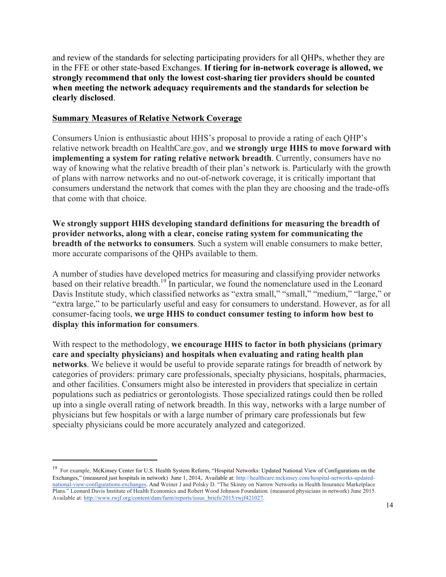and review of the standards for selecting participating providers for all QHPs, whether they are in the FFE or other state-based Exchanges. **If tiering for in-network coverage is allowed, we strongly recommend that only the lowest cost-sharing tier providers should be counted when meeting the network adequacy requirements and the standards for selection be clearly disclosed**.

#### **Summary Measures of Relative Network Coverage**

 $\overline{a}$ 

Consumers Union is enthusiastic about HHS's proposal to provide a rating of each QHP's relative network breadth on HealthCare.gov, and **we strongly urge HHS to move forward with implementing a system for rating relative network breadth**. Currently, consumers have no way of knowing what the relative breadth of their plan's network is. Particularly with the growth of plans with narrow networks and no out-of-network coverage, it is critically important that consumers understand the network that comes with the plan they are choosing and the trade-offs that come with that choice.

**We strongly support HHS developing standard definitions for measuring the breadth of provider networks, along with a clear, concise rating system for communicating the breadth of the networks to consumers**. Such a system will enable consumers to make better, more accurate comparisons of the QHPs available to them.

A number of studies have developed metrics for measuring and classifying provider networks based on their relative breadth.<sup>19</sup> In particular, we found the nomenclature used in the Leonard Davis Institute study, which classified networks as "extra small," "small," "medium," "large," or "extra large," to be particularly useful and easy for consumers to understand. However, as for all consumer-facing tools, **we urge HHS to conduct consumer testing to inform how best to display this information for consumers**.

With respect to the methodology, **we encourage HHS to factor in both physicians (primary care and specialty physicians) and hospitals when evaluating and rating health plan networks**. We believe it would be useful to provide separate ratings for breadth of network by categories of providers: primary care professionals, specialty physicians, hospitals, pharmacies, and other facilities. Consumers might also be interested in providers that specialize in certain populations such as pediatrics or gerontologists. Those specialized ratings could then be rolled up into a single overall rating of network breadth. In this way, networks with a large number of physicians but few hospitals or with a large number of primary care professionals but few specialty physicians could be more accurately analyzed and categorized.

<sup>19</sup> For example, McKinsey Center for U.S. Health System Reform, "Hospital Networks: Updated National View of Configurations on the Exchanges," (measured just hospitals in network) June 1, 2014,. Available at: http://healthcare.mckinsey.com/hospital-networks-updatednational-view-configurations-exchanges. And Weiner J and Polsky D. "The Skinny on Narrow Networks in Health Insurance Marketplace Plans." Leonard Davis Institute of Health Economics and Robert Wood Johnson Foundation. (measured physicians in network) June 2015. Available at: http://www.rwjf.org/content/dam/farm/reports/issue\_briefs/2015/rwjf421027.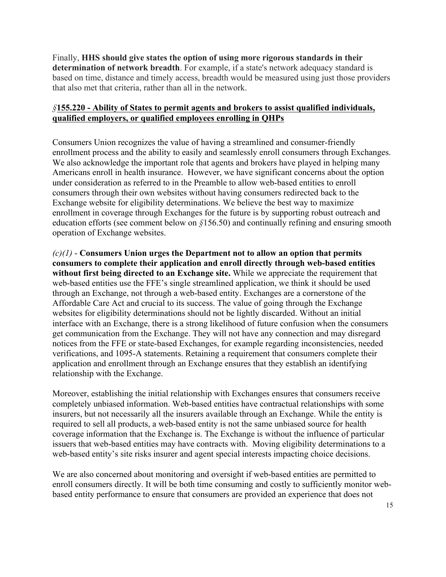Finally, **HHS should give states the option of using more rigorous standards in their determination of network breadth**. For example, if a state's network adequacy standard is based on time, distance and timely access, breadth would be measured using just those providers that also met that criteria, rather than all in the network.

## *§***155.220 - Ability of States to permit agents and brokers to assist qualified individuals, qualified employers, or qualified employees enrolling in QHPs**

Consumers Union recognizes the value of having a streamlined and consumer-friendly enrollment process and the ability to easily and seamlessly enroll consumers through Exchanges. We also acknowledge the important role that agents and brokers have played in helping many Americans enroll in health insurance. However, we have significant concerns about the option under consideration as referred to in the Preamble to allow web-based entities to enroll consumers through their own websites without having consumers redirected back to the Exchange website for eligibility determinations. We believe the best way to maximize enrollment in coverage through Exchanges for the future is by supporting robust outreach and education efforts (see comment below on *§*156.50) and continually refining and ensuring smooth operation of Exchange websites.

*(c)(1)* - **Consumers Union urges the Department not to allow an option that permits consumers to complete their application and enroll directly through web-based entities without first being directed to an Exchange site.** While we appreciate the requirement that web-based entities use the FFE's single streamlined application, we think it should be used through an Exchange, not through a web-based entity. Exchanges are a cornerstone of the Affordable Care Act and crucial to its success. The value of going through the Exchange websites for eligibility determinations should not be lightly discarded. Without an initial interface with an Exchange, there is a strong likelihood of future confusion when the consumers get communication from the Exchange. They will not have any connection and may disregard notices from the FFE or state-based Exchanges, for example regarding inconsistencies, needed verifications, and 1095-A statements. Retaining a requirement that consumers complete their application and enrollment through an Exchange ensures that they establish an identifying relationship with the Exchange.

Moreover, establishing the initial relationship with Exchanges ensures that consumers receive completely unbiased information. Web-based entities have contractual relationships with some insurers, but not necessarily all the insurers available through an Exchange. While the entity is required to sell all products, a web-based entity is not the same unbiased source for health coverage information that the Exchange is. The Exchange is without the influence of particular issuers that web-based entities may have contracts with. Moving eligibility determinations to a web-based entity's site risks insurer and agent special interests impacting choice decisions.

We are also concerned about monitoring and oversight if web-based entities are permitted to enroll consumers directly. It will be both time consuming and costly to sufficiently monitor webbased entity performance to ensure that consumers are provided an experience that does not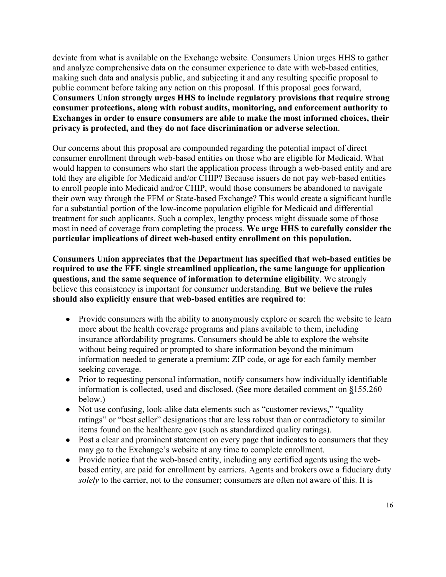deviate from what is available on the Exchange website. Consumers Union urges HHS to gather and analyze comprehensive data on the consumer experience to date with web-based entities, making such data and analysis public, and subjecting it and any resulting specific proposal to public comment before taking any action on this proposal. If this proposal goes forward, **Consumers Union strongly urges HHS to include regulatory provisions that require strong consumer protections, along with robust audits, monitoring, and enforcement authority to Exchanges in order to ensure consumers are able to make the most informed choices, their privacy is protected, and they do not face discrimination or adverse selection**.

Our concerns about this proposal are compounded regarding the potential impact of direct consumer enrollment through web-based entities on those who are eligible for Medicaid. What would happen to consumers who start the application process through a web-based entity and are told they are eligible for Medicaid and/or CHIP? Because issuers do not pay web-based entities to enroll people into Medicaid and/or CHIP, would those consumers be abandoned to navigate their own way through the FFM or State-based Exchange? This would create a significant hurdle for a substantial portion of the low-income population eligible for Medicaid and differential treatment for such applicants. Such a complex, lengthy process might dissuade some of those most in need of coverage from completing the process. **We urge HHS to carefully consider the particular implications of direct web-based entity enrollment on this population.** 

**Consumers Union appreciates that the Department has specified that web-based entities be required to use the FFE single streamlined application, the same language for application questions, and the same sequence of information to determine eligibility**. We strongly believe this consistency is important for consumer understanding. **But we believe the rules should also explicitly ensure that web-based entities are required to**:

- Provide consumers with the ability to anonymously explore or search the website to learn more about the health coverage programs and plans available to them, including insurance affordability programs. Consumers should be able to explore the website without being required or prompted to share information beyond the minimum information needed to generate a premium: ZIP code, or age for each family member seeking coverage.
- Prior to requesting personal information, notify consumers how individually identifiable information is collected, used and disclosed. (See more detailed comment on **§**155.260 below.)
- Not use confusing, look-alike data elements such as "customer reviews," "quality ratings" or "best seller" designations that are less robust than or contradictory to similar items found on the healthcare.gov (such as standardized quality ratings).
- Post a clear and prominent statement on every page that indicates to consumers that they may go to the Exchange's website at any time to complete enrollment.
- Provide notice that the web-based entity, including any certified agents using the webbased entity, are paid for enrollment by carriers. Agents and brokers owe a fiduciary duty *solely* to the carrier, not to the consumer; consumers are often not aware of this. It is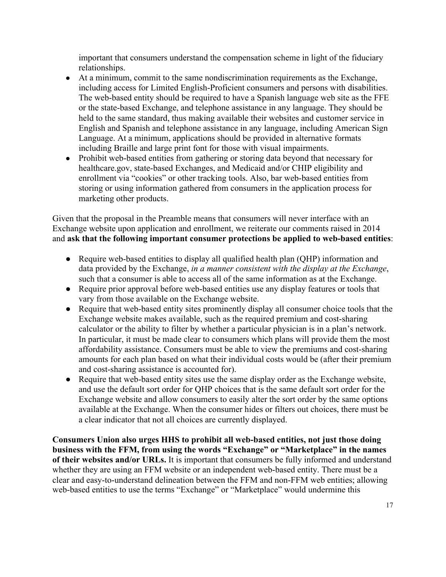important that consumers understand the compensation scheme in light of the fiduciary relationships.

- At a minimum, commit to the same nondiscrimination requirements as the Exchange, including access for Limited English-Proficient consumers and persons with disabilities. The web-based entity should be required to have a Spanish language web site as the FFE or the state-based Exchange, and telephone assistance in any language. They should be held to the same standard, thus making available their websites and customer service in English and Spanish and telephone assistance in any language, including American Sign Language. At a minimum, applications should be provided in alternative formats including Braille and large print font for those with visual impairments.
- Prohibit web-based entities from gathering or storing data beyond that necessary for healthcare.gov, state-based Exchanges, and Medicaid and/or CHIP eligibility and enrollment via "cookies" or other tracking tools. Also, bar web-based entities from storing or using information gathered from consumers in the application process for marketing other products.

Given that the proposal in the Preamble means that consumers will never interface with an Exchange website upon application and enrollment, we reiterate our comments raised in 2014 and **ask that the following important consumer protections be applied to web-based entities**:

- Require web-based entities to display all qualified health plan (QHP) information and data provided by the Exchange, *in a manner consistent with the display at the Exchange*, such that a consumer is able to access all of the same information as at the Exchange.
- Require prior approval before web-based entities use any display features or tools that vary from those available on the Exchange website.
- Require that web-based entity sites prominently display all consumer choice tools that the Exchange website makes available, such as the required premium and cost-sharing calculator or the ability to filter by whether a particular physician is in a plan's network. In particular, it must be made clear to consumers which plans will provide them the most affordability assistance. Consumers must be able to view the premiums and cost-sharing amounts for each plan based on what their individual costs would be (after their premium and cost-sharing assistance is accounted for).
- Require that web-based entity sites use the same display order as the Exchange website, and use the default sort order for QHP choices that is the same default sort order for the Exchange website and allow consumers to easily alter the sort order by the same options available at the Exchange. When the consumer hides or filters out choices, there must be a clear indicator that not all choices are currently displayed.

**Consumers Union also urges HHS to prohibit all web-based entities, not just those doing business with the FFM, from using the words "Exchange" or "Marketplace" in the names of their websites and/or URLs.** It is important that consumers be fully informed and understand whether they are using an FFM website or an independent web-based entity. There must be a clear and easy-to-understand delineation between the FFM and non-FFM web entities; allowing web-based entities to use the terms "Exchange" or "Marketplace" would undermine this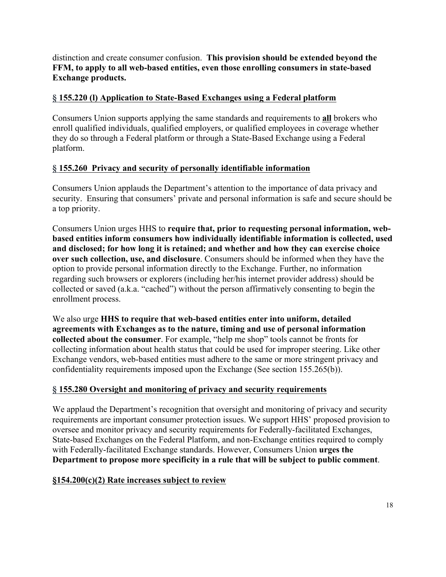distinction and create consumer confusion. **This provision should be extended beyond the FFM, to apply to all web-based entities, even those enrolling consumers in state-based Exchange products.**

## **§ 155.220 (l) Application to State-Based Exchanges using a Federal platform**

Consumers Union supports applying the same standards and requirements to **all** brokers who enroll qualified individuals, qualified employers, or qualified employees in coverage whether they do so through a Federal platform or through a State-Based Exchange using a Federal platform.

## **§ 155.260 Privacy and security of personally identifiable information**

Consumers Union applauds the Department's attention to the importance of data privacy and security. Ensuring that consumers' private and personal information is safe and secure should be a top priority.

Consumers Union urges HHS to **require that, prior to requesting personal information, webbased entities inform consumers how individually identifiable information is collected, used and disclosed; for how long it is retained; and whether and how they can exercise choice over such collection, use, and disclosure**. Consumers should be informed when they have the option to provide personal information directly to the Exchange. Further, no information regarding such browsers or explorers (including her/his internet provider address) should be collected or saved (a.k.a. "cached") without the person affirmatively consenting to begin the enrollment process.

We also urge **HHS to require that web-based entities enter into uniform, detailed agreements with Exchanges as to the nature, timing and use of personal information collected about the consumer**. For example, "help me shop" tools cannot be fronts for collecting information about health status that could be used for improper steering. Like other Exchange vendors, web-based entities must adhere to the same or more stringent privacy and confidentiality requirements imposed upon the Exchange (See section 155.265(b)).

## **§ 155.280 Oversight and monitoring of privacy and security requirements**

We applaud the Department's recognition that oversight and monitoring of privacy and security requirements are important consumer protection issues. We support HHS' proposed provision to oversee and monitor privacy and security requirements for Federally-facilitated Exchanges, State-based Exchanges on the Federal Platform, and non-Exchange entities required to comply with Federally-facilitated Exchange standards. However, Consumers Union **urges the Department to propose more specificity in a rule that will be subject to public comment**.

## **§154.200(c)(2) Rate increases subject to review**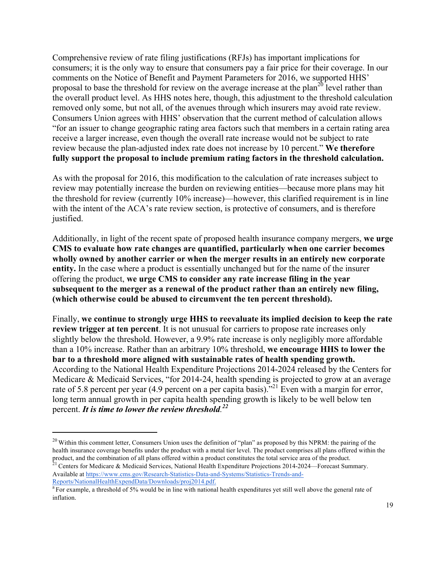Comprehensive review of rate filing justifications (RFJs) has important implications for consumers; it is the only way to ensure that consumers pay a fair price for their coverage. In our comments on the Notice of Benefit and Payment Parameters for 2016, we supported HHS' proposal to base the threshold for review on the average increase at the plan<sup>20</sup> level rather than the overall product level. As HHS notes here, though, this adjustment to the threshold calculation removed only some, but not all, of the avenues through which insurers may avoid rate review. Consumers Union agrees with HHS' observation that the current method of calculation allows "for an issuer to change geographic rating area factors such that members in a certain rating area receive a larger increase, even though the overall rate increase would not be subject to rate review because the plan-adjusted index rate does not increase by 10 percent." **We therefore fully support the proposal to include premium rating factors in the threshold calculation.** 

As with the proposal for 2016, this modification to the calculation of rate increases subject to review may potentially increase the burden on reviewing entities—because more plans may hit the threshold for review (currently 10% increase)—however, this clarified requirement is in line with the intent of the ACA's rate review section, is protective of consumers, and is therefore justified.

Additionally, in light of the recent spate of proposed health insurance company mergers, **we urge CMS to evaluate how rate changes are quantified, particularly when one carrier becomes wholly owned by another carrier or when the merger results in an entirely new corporate entity.** In the case where a product is essentially unchanged but for the name of the insurer offering the product, **we urge CMS to consider any rate increase filing in the year subsequent to the merger as a renewal of the product rather than an entirely new filing, (which otherwise could be abused to circumvent the ten percent threshold).**

Finally, **we continue to strongly urge HHS to reevaluate its implied decision to keep the rate review trigger at ten percent**. It is not unusual for carriers to propose rate increases only slightly below the threshold. However, a 9.9% rate increase is only negligibly more affordable than a 10% increase. Rather than an arbitrary 10% threshold, **we encourage HHS to lower the bar to a threshold more aligned with sustainable rates of health spending growth.** According to the National Health Expenditure Projections 2014-2024 released by the Centers for Medicare & Medicaid Services, "for 2014-24, health spending is projected to grow at an average rate of 5.8 percent per year (4.9 percent on a per capita basis).<sup>"21</sup> Even with a margin for error, long term annual growth in per capita health spending growth is likely to be well below ten percent. *It is time to lower the review threshold. 22*

 $\ddot{\phantom{a}}$ 

 $20$  Within this comment letter, Consumers Union uses the definition of "plan" as proposed by this NPRM: the pairing of the health insurance coverage benefits under the product with a metal tier level. The product comprises all plans offered within the product, and the combination of all plans offered within a product constitutes the total service area of the product.<br><sup>21</sup> Centers for Medicare & Medicaid Services, National Health Expenditure Projections 2014-2024—Forecas

Available at https://www.cms.gov/Research-Statistics-Data-and-Systems/Statistics-Trends-and-Reports/NationalHealthExpendData/Downloads/proj2014.pdf.

<sup>&</sup>lt;sup>a</sup> For example, a threshold of 5% would be in line with national health expenditures yet still well above the general rate of inflation.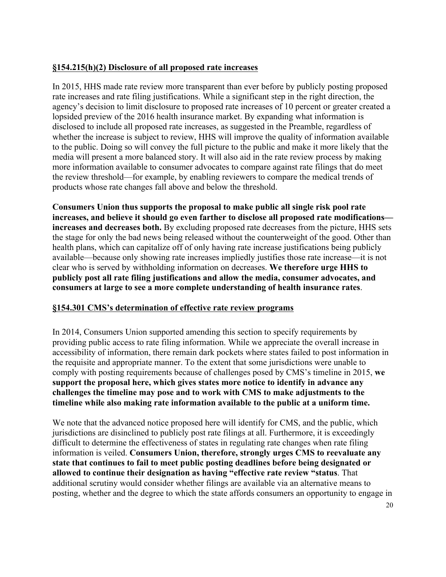## **§154.215(h)(2) Disclosure of all proposed rate increases**

In 2015, HHS made rate review more transparent than ever before by publicly posting proposed rate increases and rate filing justifications. While a significant step in the right direction, the agency's decision to limit disclosure to proposed rate increases of 10 percent or greater created a lopsided preview of the 2016 health insurance market. By expanding what information is disclosed to include all proposed rate increases, as suggested in the Preamble, regardless of whether the increase is subject to review, HHS will improve the quality of information available to the public. Doing so will convey the full picture to the public and make it more likely that the media will present a more balanced story. It will also aid in the rate review process by making more information available to consumer advocates to compare against rate filings that do meet the review threshold—for example, by enabling reviewers to compare the medical trends of products whose rate changes fall above and below the threshold.

**Consumers Union thus supports the proposal to make public all single risk pool rate increases, and believe it should go even farther to disclose all proposed rate modifications increases and decreases both.** By excluding proposed rate decreases from the picture, HHS sets the stage for only the bad news being released without the counterweight of the good. Other than health plans, which can capitalize off of only having rate increase justifications being publicly available—because only showing rate increases impliedly justifies those rate increase—it is not clear who is served by withholding information on decreases. **We therefore urge HHS to publicly post all rate filing justifications and allow the media, consumer advocates, and consumers at large to see a more complete understanding of health insurance rates**.

## **§154.301 CMS's determination of effective rate review programs**

In 2014, Consumers Union supported amending this section to specify requirements by providing public access to rate filing information. While we appreciate the overall increase in accessibility of information, there remain dark pockets where states failed to post information in the requisite and appropriate manner. To the extent that some jurisdictions were unable to comply with posting requirements because of challenges posed by CMS's timeline in 2015, **we support the proposal here, which gives states more notice to identify in advance any challenges the timeline may pose and to work with CMS to make adjustments to the timeline while also making rate information available to the public at a uniform time.**

We note that the advanced notice proposed here will identify for CMS, and the public, which jurisdictions are disinclined to publicly post rate filings at all. Furthermore, it is exceedingly difficult to determine the effectiveness of states in regulating rate changes when rate filing information is veiled. **Consumers Union, therefore, strongly urges CMS to reevaluate any state that continues to fail to meet public posting deadlines before being designated or allowed to continue their designation as having "effective rate review "status**. That additional scrutiny would consider whether filings are available via an alternative means to posting, whether and the degree to which the state affords consumers an opportunity to engage in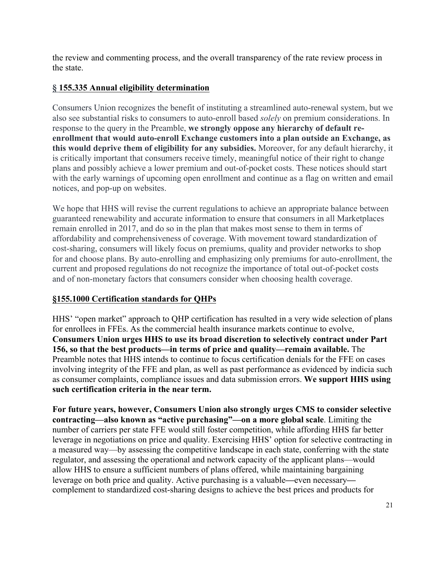the review and commenting process, and the overall transparency of the rate review process in the state.

# **§ 155.335 Annual eligibility determination**

Consumers Union recognizes the benefit of instituting a streamlined auto-renewal system, but we also see substantial risks to consumers to auto-enroll based *solely* on premium considerations. In response to the query in the Preamble, **we strongly oppose any hierarchy of default reenrollment that would auto-enroll Exchange customers into a plan outside an Exchange, as this would deprive them of eligibility for any subsidies.** Moreover, for any default hierarchy, it is critically important that consumers receive timely, meaningful notice of their right to change plans and possibly achieve a lower premium and out-of-pocket costs. These notices should start with the early warnings of upcoming open enrollment and continue as a flag on written and email notices, and pop-up on websites.

We hope that HHS will revise the current regulations to achieve an appropriate balance between guaranteed renewability and accurate information to ensure that consumers in all Marketplaces remain enrolled in 2017, and do so in the plan that makes most sense to them in terms of affordability and comprehensiveness of coverage. With movement toward standardization of cost-sharing, consumers will likely focus on premiums, quality and provider networks to shop for and choose plans. By auto-enrolling and emphasizing only premiums for auto-enrollment, the current and proposed regulations do not recognize the importance of total out-of-pocket costs and of non-monetary factors that consumers consider when choosing health coverage.

# **§155.1000 Certification standards for QHPs**

HHS' "open market" approach to QHP certification has resulted in a very wide selection of plans for enrollees in FFEs. As the commercial health insurance markets continue to evolve, **Consumers Union urges HHS to use its broad discretion to selectively contract under Part 156, so that the best products—in terms of price and quality—remain available.** The Preamble notes that HHS intends to continue to focus certification denials for the FFE on cases involving integrity of the FFE and plan, as well as past performance as evidenced by indicia such as consumer complaints, compliance issues and data submission errors. **We support HHS using such certification criteria in the near term.**

**For future years, however, Consumers Union also strongly urges CMS to consider selective contracting—also known as "active purchasing"—on a more global scale**. Limiting the number of carriers per state FFE would still foster competition, while affording HHS far better leverage in negotiations on price and quality. Exercising HHS' option for selective contracting in a measured way—by assessing the competitive landscape in each state, conferring with the state regulator, and assessing the operational and network capacity of the applicant plans—would allow HHS to ensure a sufficient numbers of plans offered, while maintaining bargaining leverage on both price and quality. Active purchasing is a valuable**—**even necessary complement to standardized cost-sharing designs to achieve the best prices and products for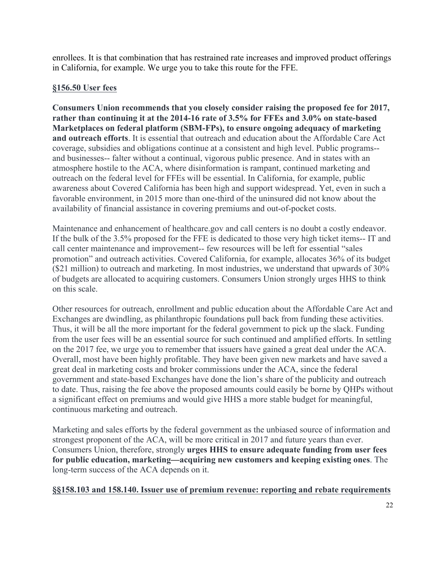enrollees. It is that combination that has restrained rate increases and improved product offerings in California, for example. We urge you to take this route for the FFE.

## **§156.50 User fees**

**Consumers Union recommends that you closely consider raising the proposed fee for 2017, rather than continuing it at the 2014-16 rate of 3.5% for FFEs and 3.0% on state-based Marketplaces on federal platform (SBM-FPs), to ensure ongoing adequacy of marketing and outreach efforts**. It is essential that outreach and education about the Affordable Care Act coverage, subsidies and obligations continue at a consistent and high level. Public programs- and businesses-- falter without a continual, vigorous public presence. And in states with an atmosphere hostile to the ACA, where disinformation is rampant, continued marketing and outreach on the federal level for FFEs will be essential. In California, for example, public awareness about Covered California has been high and support widespread. Yet, even in such a favorable environment, in 2015 more than one-third of the uninsured did not know about the availability of financial assistance in covering premiums and out-of-pocket costs.

Maintenance and enhancement of healthcare.gov and call centers is no doubt a costly endeavor. If the bulk of the 3.5% proposed for the FFE is dedicated to those very high ticket items-- IT and call center maintenance and improvement-- few resources will be left for essential "sales promotion" and outreach activities. Covered California, for example, allocates 36% of its budget (\$21 million) to outreach and marketing. In most industries, we understand that upwards of 30% of budgets are allocated to acquiring customers. Consumers Union strongly urges HHS to think on this scale.

Other resources for outreach, enrollment and public education about the Affordable Care Act and Exchanges are dwindling, as philanthropic foundations pull back from funding these activities. Thus, it will be all the more important for the federal government to pick up the slack. Funding from the user fees will be an essential source for such continued and amplified efforts. In settling on the 2017 fee, we urge you to remember that issuers have gained a great deal under the ACA. Overall, most have been highly profitable. They have been given new markets and have saved a great deal in marketing costs and broker commissions under the ACA, since the federal government and state-based Exchanges have done the lion's share of the publicity and outreach to date. Thus, raising the fee above the proposed amounts could easily be borne by QHPs without a significant effect on premiums and would give HHS a more stable budget for meaningful, continuous marketing and outreach.

Marketing and sales efforts by the federal government as the unbiased source of information and strongest proponent of the ACA, will be more critical in 2017 and future years than ever. Consumers Union, therefore, strongly **urges HHS to ensure adequate funding from user fees for public education, marketing—acquiring new customers and keeping existing ones**. The long-term success of the ACA depends on it.

#### **§§158.103 and 158.140. Issuer use of premium revenue: reporting and rebate requirements**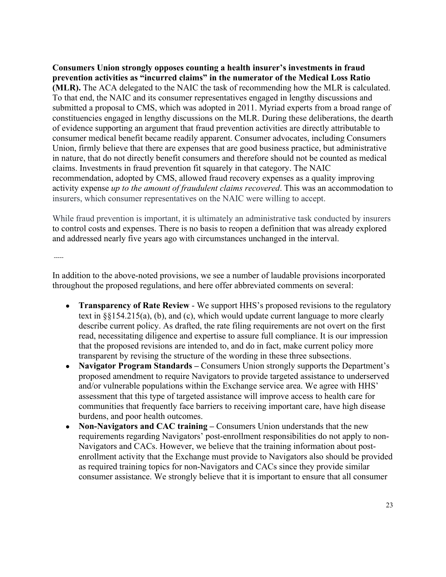**Consumers Union strongly opposes counting a health insurer's investments in fraud prevention activities as "incurred claims" in the numerator of the Medical Loss Ratio (MLR).** The ACA delegated to the NAIC the task of recommending how the MLR is calculated. To that end, the NAIC and its consumer representatives engaged in lengthy discussions and submitted a proposal to CMS, which was adopted in 2011. Myriad experts from a broad range of constituencies engaged in lengthy discussions on the MLR. During these deliberations, the dearth of evidence supporting an argument that fraud prevention activities are directly attributable to consumer medical benefit became readily apparent. Consumer advocates, including Consumers Union, firmly believe that there are expenses that are good business practice, but administrative in nature, that do not directly benefit consumers and therefore should not be counted as medical claims. Investments in fraud prevention fit squarely in that category. The NAIC recommendation, adopted by CMS, allowed fraud recovery expenses as a quality improving activity expense *up to the amount of fraudulent claims recovered*. This was an accommodation to insurers, which consumer representatives on the NAIC were willing to accept.

While fraud prevention is important, it is ultimately an administrative task conducted by insurers to control costs and expenses. There is no basis to reopen a definition that was already explored and addressed nearly five years ago with circumstances unchanged in the interval.

-----

In addition to the above-noted provisions, we see a number of laudable provisions incorporated throughout the proposed regulations, and here offer abbreviated comments on several:

- **Transparency of Rate Review** We support HHS's proposed revisions to the regulatory text in §§154.215(a), (b), and (c), which would update current language to more clearly describe current policy. As drafted, the rate filing requirements are not overt on the first read, necessitating diligence and expertise to assure full compliance. It is our impression that the proposed revisions are intended to, and do in fact, make current policy more transparent by revising the structure of the wording in these three subsections.
- **Navigator Program Standards** Consumers Union strongly supports the Department's proposed amendment to require Navigators to provide targeted assistance to underserved and/or vulnerable populations within the Exchange service area. We agree with HHS' assessment that this type of targeted assistance will improve access to health care for communities that frequently face barriers to receiving important care, have high disease burdens, and poor health outcomes.
- **Non-Navigators and CAC training –** Consumers Union understands that the new requirements regarding Navigators' post-enrollment responsibilities do not apply to non-Navigators and CACs. However, we believe that the training information about postenrollment activity that the Exchange must provide to Navigators also should be provided as required training topics for non-Navigators and CACs since they provide similar consumer assistance. We strongly believe that it is important to ensure that all consumer